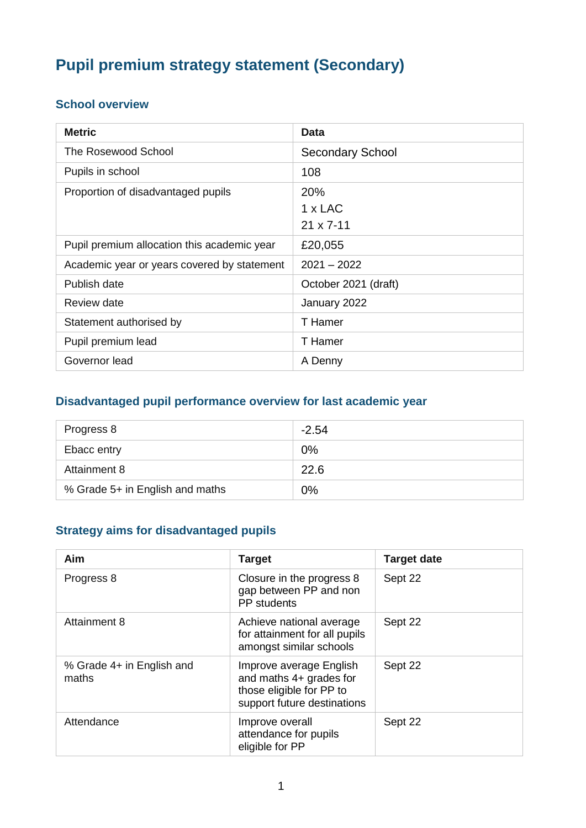# **Pupil premium strategy statement (Secondary)**

#### **School overview**

| <b>Metric</b>                               | Data                                        |
|---------------------------------------------|---------------------------------------------|
| The Rosewood School                         | <b>Secondary School</b>                     |
| Pupils in school                            | 108                                         |
| Proportion of disadvantaged pupils          | 20%<br>$1 \times$ LAC<br>$21 \times 7 - 11$ |
| Pupil premium allocation this academic year | £20,055                                     |
| Academic year or years covered by statement | $2021 - 2022$                               |
| Publish date                                | October 2021 (draft)                        |
| Review date                                 | January 2022                                |
| Statement authorised by                     | T Hamer                                     |
| Pupil premium lead                          | T Hamer                                     |
| Governor lead                               | A Denny                                     |

#### **Disadvantaged pupil performance overview for last academic year**

| Progress 8                      | $-2.54$ |
|---------------------------------|---------|
| Ebacc entry                     | 0%      |
| Attainment 8                    | 22.6    |
| % Grade 5+ in English and maths | 0%      |

## **Strategy aims for disadvantaged pupils**

| Aim                                | <b>Target</b>                                                                                                 | <b>Target date</b> |
|------------------------------------|---------------------------------------------------------------------------------------------------------------|--------------------|
| Progress 8                         | Closure in the progress 8<br>gap between PP and non<br><b>PP</b> students                                     | Sept 22            |
| Attainment 8                       | Achieve national average<br>for attainment for all pupils<br>amongst similar schools                          | Sept 22            |
| % Grade 4+ in English and<br>maths | Improve average English<br>and maths 4+ grades for<br>those eligible for PP to<br>support future destinations | Sept 22            |
| Attendance                         | Improve overall<br>attendance for pupils<br>eligible for PP                                                   | Sept 22            |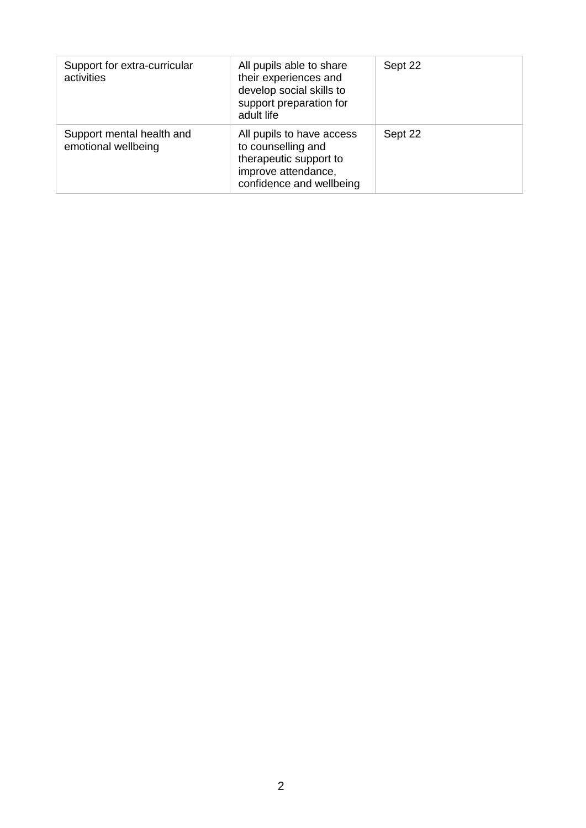| Support for extra-curricular<br>activities       | All pupils able to share<br>their experiences and<br>develop social skills to<br>support preparation for<br>adult life       | Sept 22 |
|--------------------------------------------------|------------------------------------------------------------------------------------------------------------------------------|---------|
| Support mental health and<br>emotional wellbeing | All pupils to have access<br>to counselling and<br>therapeutic support to<br>improve attendance,<br>confidence and wellbeing | Sept 22 |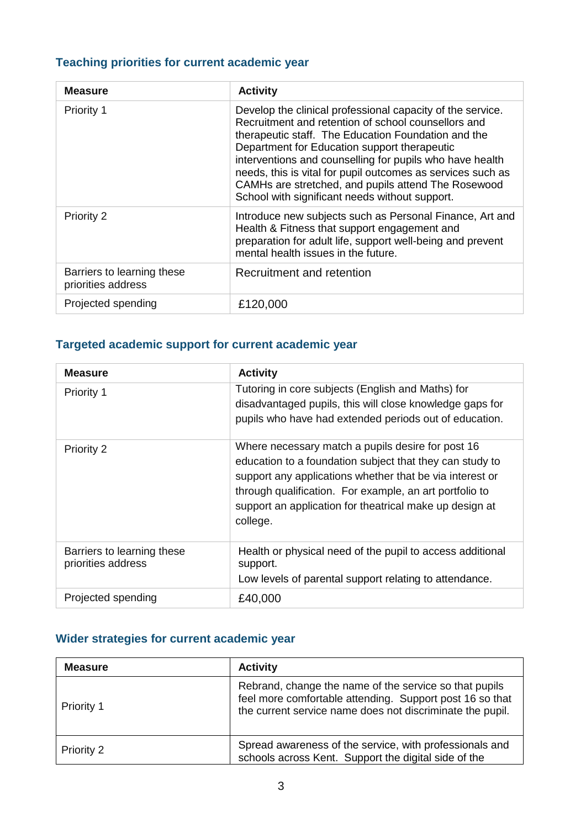### **Teaching priorities for current academic year**

| <b>Measure</b>                                   | <b>Activity</b>                                                                                                                                                                                                                                                                                                                                                                                                                                              |
|--------------------------------------------------|--------------------------------------------------------------------------------------------------------------------------------------------------------------------------------------------------------------------------------------------------------------------------------------------------------------------------------------------------------------------------------------------------------------------------------------------------------------|
| Priority 1                                       | Develop the clinical professional capacity of the service.<br>Recruitment and retention of school counsellors and<br>therapeutic staff. The Education Foundation and the<br>Department for Education support therapeutic<br>interventions and counselling for pupils who have health<br>needs, this is vital for pupil outcomes as services such as<br>CAMHs are stretched, and pupils attend The Rosewood<br>School with significant needs without support. |
| <b>Priority 2</b>                                | Introduce new subjects such as Personal Finance, Art and<br>Health & Fitness that support engagement and<br>preparation for adult life, support well-being and prevent<br>mental health issues in the future.                                                                                                                                                                                                                                                |
| Barriers to learning these<br>priorities address | Recruitment and retention                                                                                                                                                                                                                                                                                                                                                                                                                                    |
| Projected spending                               | £120,000                                                                                                                                                                                                                                                                                                                                                                                                                                                     |

#### **Targeted academic support for current academic year**

| <b>Measure</b>                                   | <b>Activity</b>                                                                                                                                                                                                                                                                                             |
|--------------------------------------------------|-------------------------------------------------------------------------------------------------------------------------------------------------------------------------------------------------------------------------------------------------------------------------------------------------------------|
| Priority 1                                       | Tutoring in core subjects (English and Maths) for<br>disadvantaged pupils, this will close knowledge gaps for<br>pupils who have had extended periods out of education.                                                                                                                                     |
| <b>Priority 2</b>                                | Where necessary match a pupils desire for post 16<br>education to a foundation subject that they can study to<br>support any applications whether that be via interest or<br>through qualification. For example, an art portfolio to<br>support an application for theatrical make up design at<br>college. |
| Barriers to learning these<br>priorities address | Health or physical need of the pupil to access additional<br>support.<br>Low levels of parental support relating to attendance.                                                                                                                                                                             |
| Projected spending                               | £40,000                                                                                                                                                                                                                                                                                                     |

#### **Wider strategies for current academic year**

| <b>Measure</b> | <b>Activity</b>                                                                                                                                                                 |
|----------------|---------------------------------------------------------------------------------------------------------------------------------------------------------------------------------|
| Priority 1     | Rebrand, change the name of the service so that pupils<br>feel more comfortable attending. Support post 16 so that<br>the current service name does not discriminate the pupil. |
| Priority 2     | Spread awareness of the service, with professionals and<br>schools across Kent. Support the digital side of the                                                                 |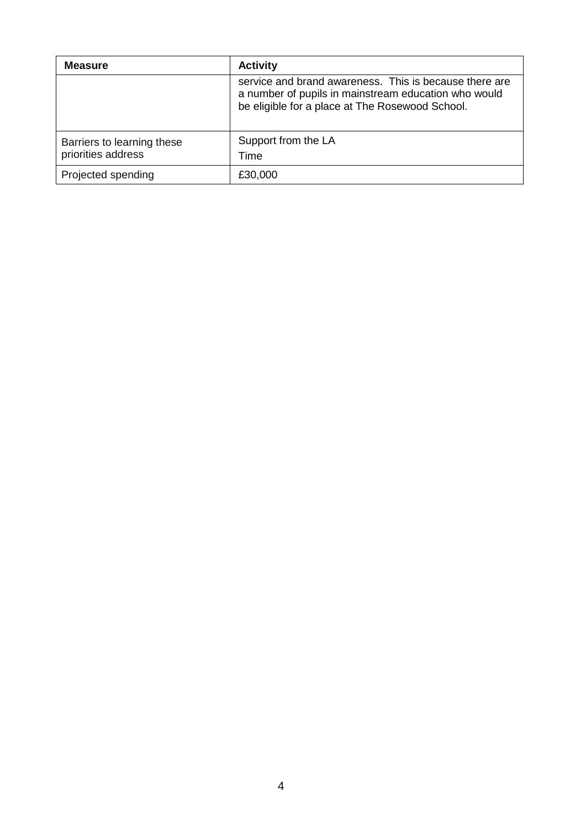| <b>Measure</b>                                   | <b>Activity</b>                                                                                                                                                   |
|--------------------------------------------------|-------------------------------------------------------------------------------------------------------------------------------------------------------------------|
|                                                  | service and brand awareness. This is because there are<br>a number of pupils in mainstream education who would<br>be eligible for a place at The Rosewood School. |
| Barriers to learning these<br>priorities address | Support from the LA<br>Time                                                                                                                                       |
| Projected spending                               | £30,000                                                                                                                                                           |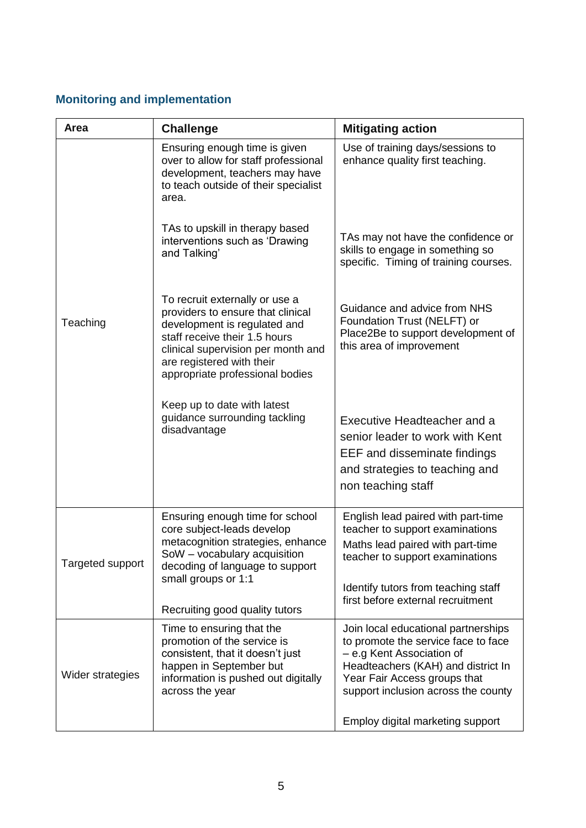### **Monitoring and implementation**

| Area             | <b>Challenge</b>                                                                                                                                                                                                                           | <b>Mitigating action</b>                                                                                                                                                                                             |
|------------------|--------------------------------------------------------------------------------------------------------------------------------------------------------------------------------------------------------------------------------------------|----------------------------------------------------------------------------------------------------------------------------------------------------------------------------------------------------------------------|
|                  | Ensuring enough time is given<br>over to allow for staff professional<br>development, teachers may have<br>to teach outside of their specialist<br>area.                                                                                   | Use of training days/sessions to<br>enhance quality first teaching.                                                                                                                                                  |
|                  | TAs to upskill in therapy based<br>interventions such as 'Drawing<br>and Talking'                                                                                                                                                          | TAs may not have the confidence or<br>skills to engage in something so<br>specific. Timing of training courses.                                                                                                      |
| Teaching         | To recruit externally or use a<br>providers to ensure that clinical<br>development is regulated and<br>staff receive their 1.5 hours<br>clinical supervision per month and<br>are registered with their<br>appropriate professional bodies | Guidance and advice from NHS<br>Foundation Trust (NELFT) or<br>Place2Be to support development of<br>this area of improvement                                                                                        |
|                  | Keep up to date with latest<br>guidance surrounding tackling<br>disadvantage                                                                                                                                                               | Executive Headteacher and a<br>senior leader to work with Kent<br>EEF and disseminate findings<br>and strategies to teaching and<br>non teaching staff                                                               |
| Targeted support | Ensuring enough time for school<br>core subject-leads develop<br>metacognition strategies, enhance<br>SoW - vocabulary acquisition<br>decoding of language to support<br>small groups or 1:1                                               | English lead paired with part-time<br>teacher to support examinations<br>Maths lead paired with part-time<br>teacher to support examinations<br>Identify tutors from teaching staff                                  |
|                  | Recruiting good quality tutors                                                                                                                                                                                                             | first before external recruitment                                                                                                                                                                                    |
| Wider strategies | Time to ensuring that the<br>promotion of the service is<br>consistent, that it doesn't just<br>happen in September but<br>information is pushed out digitally<br>across the year                                                          | Join local educational partnerships<br>to promote the service face to face<br>- e.g Kent Association of<br>Headteachers (KAH) and district In<br>Year Fair Access groups that<br>support inclusion across the county |
|                  |                                                                                                                                                                                                                                            | Employ digital marketing support                                                                                                                                                                                     |